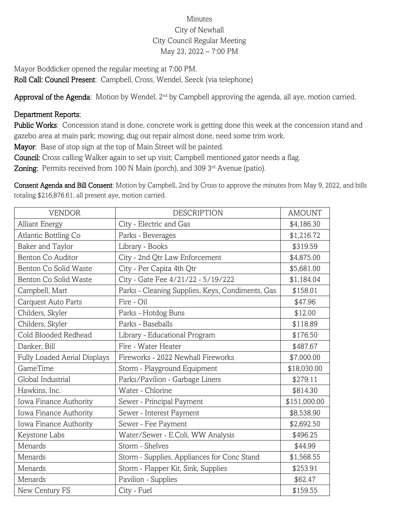## Minutes City of Newhall City Council Regular Meeting May 23, 2022 – 7:00 PM

Mayor Boddicker opened the regular meeting at 7:00 PM.

Roll Call: Council Present: Campbell, Cross, Wendel, Seeck (via telephone)

Approval of the Agenda: Motion by Wendel, 2<sup>nd</sup> by Campbell approving the agenda, all aye, motion carried.

## Department Reports:

Public Works: Concession stand is done, concrete work is getting done this week at the concession stand and gazebo area at main park; mowing; dug out repair almost done, need some trim work.

Mayor: Base of stop sign at the top of Main Street will be painted.

Council: Cross calling Walker again to set up visit; Campbell mentioned gator needs a flag.

**Zoning:** Permits received from 100 N Main (porch), and 309  $3^{rd}$  Avenue (patio).

Consent Agenda and Bill Consent: Motion by Campbell, 2nd by Cross to approve the minutes from May 9, 2022, and bills totaling \$216,876.61, all present aye, motion carried.

| <b>VENDOR</b>                       | <b>DESCRIPTION</b>                               | <b>AMOUNT</b> |
|-------------------------------------|--------------------------------------------------|---------------|
| <b>Alliant Energy</b>               | City - Electric and Gas                          | \$4,186.30    |
| Atlantic Bottling Co                | Parks - Beverages                                | \$1,216.72    |
| Baker and Taylor                    | Library - Books                                  | \$319.59      |
| Benton Co Auditor                   | City - 2nd Qtr Law Enforcement                   | \$4,875.00    |
| Benton Co Solid Waste               | City - Per Capita 4th Qtr                        | \$5,681.00    |
| Benton Co Solid Waste               | City - Gate Fee 4/21/22 - 5/19/222               | \$1,184.04    |
| Campbell, Mart                      | Parks - Cleaning Supplies, Keys, Condiments, Gas | \$158.01      |
| Carquest Auto Parts                 | Fire - Oil                                       | \$47.96       |
| Childers, Skyler                    | Parks - Hotdog Buns                              | \$12.00       |
| Childers, Skyler                    | Parks - Baseballs                                | \$118.89      |
| Cold Blooded Redhead                | Library - Educational Program                    | \$176.50      |
| Danker, Bill                        | Fire - Water Heater                              | \$487.67      |
| <b>Fully Loaded Aerial Displays</b> | Fireworks - 2022 Newhall Fireworks               | \$7,000.00    |
| GameTime                            | Storm - Playground Equipment                     | \$18,030.00   |
| Global Industrial                   | Parks/Pavilion - Garbage Liners                  | \$279.11      |
| Hawkins, Inc.                       | Water - Chlorine                                 | \$814.30      |
| Iowa Finance Authority              | Sewer - Principal Payment                        | \$151,000.00  |
| Iowa Finance Authority              | Sewer - Interest Payment                         | \$8,538.90    |
| Iowa Finance Authority              | Sewer - Fee Payment                              | \$2,692.50    |
| Keystone Labs                       | Water/Sewer - E.Coli, WW Analysis                | \$496.25      |
| Menards                             | Storm - Shelves                                  | \$44.99       |
| Menards                             | Storm - Supplies, Appliances for Conc Stand      | \$1,568.55    |
| Menards                             | Storm - Flapper Kit, Sink, Supplies              | \$253.91      |
| Menards                             | Pavilion - Supplies                              | \$62.47       |
| New Century FS                      | City - Fuel                                      | \$159.55      |